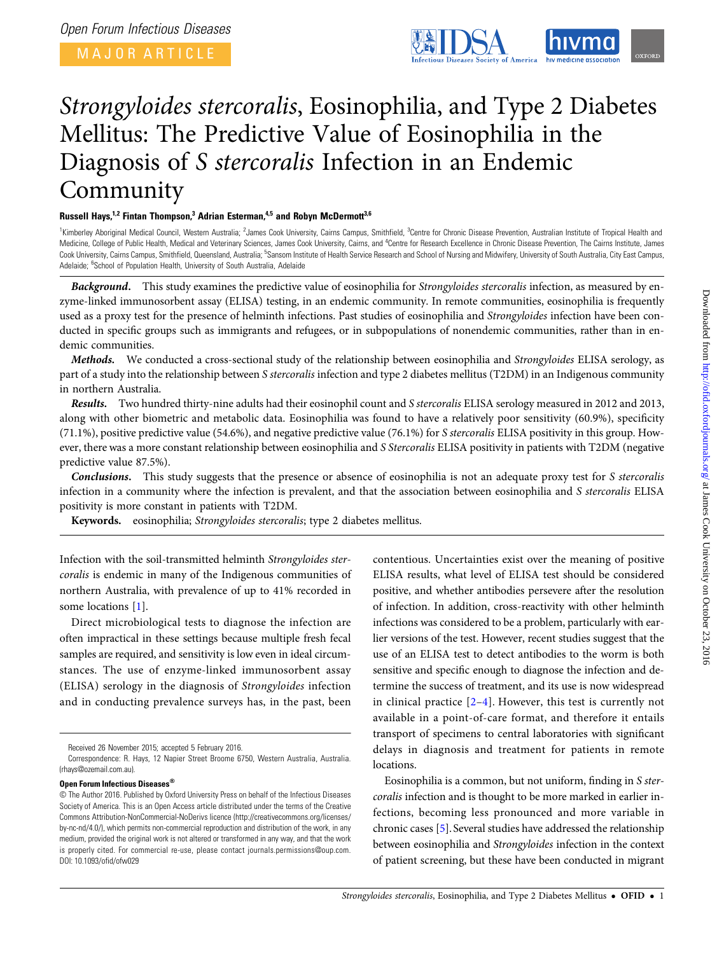MAJOR ARTICLE



# Strongyloides stercoralis, Eosinophilia, and Type 2 Diabetes Mellitus: The Predictive Value of Eosinophilia in the Diagnosis of S stercoralis Infection in an Endemic Community

## Russell Hays,<sup>1,2</sup> Fintan Thompson,<sup>3</sup> Adrian Esterman,<sup>4,5</sup> and Robyn McDermott<sup>3,6</sup>

<sup>1</sup>Kimberley Aboriginal Medical Council, Western Australia; <sup>2</sup>James Cook University, Cairns Campus, Smithfield, <sup>3</sup>Centre for Chronic Disease Prevention, Australian Institute of Tropical Health and Medicine, College of Public Health, Medical and Veterinary Sciences, James Cook University, Cairns, and <sup>4</sup>Centre for Research Excellence in Chronic Disease Prevention, The Cairns Institute, James Cook University, Cairns Campus, Smithfield, Queensland, Australia; <sup>5</sup>Sansom Institute of Health Service Research and School of Nursing and Midwifery, University of South Australia, City East Campus, Adelaide; <sup>6</sup>School of Population Health, University of South Australia, Adelaide

Background. This study examines the predictive value of eosinophilia for Strongyloides stercoralis infection, as measured by enzyme-linked immunosorbent assay (ELISA) testing, in an endemic community. In remote communities, eosinophilia is frequently used as a proxy test for the presence of helminth infections. Past studies of eosinophilia and Strongyloides infection have been conducted in specific groups such as immigrants and refugees, or in subpopulations of nonendemic communities, rather than in endemic communities.

Methods. We conducted a cross-sectional study of the relationship between eosinophilia and Strongyloides ELISA serology, as part of a study into the relationship between S stercoralis infection and type 2 diabetes mellitus (T2DM) in an Indigenous community in northern Australia.

Results. Two hundred thirty-nine adults had their eosinophil count and S stercoralis ELISA serology measured in 2012 and 2013, along with other biometric and metabolic data. Eosinophilia was found to have a relatively poor sensitivity (60.9%), specificity (71.1%), positive predictive value (54.6%), and negative predictive value (76.1%) for S stercoralis ELISA positivity in this group. However, there was a more constant relationship between eosinophilia and S Stercoralis ELISA positivity in patients with T2DM (negative predictive value 87.5%).

Conclusions. This study suggests that the presence or absence of eosinophilia is not an adequate proxy test for S stercoralis infection in a community where the infection is prevalent, and that the association between eosinophilia and S stercoralis ELISA positivity is more constant in patients with T2DM.

Keywords. eosinophilia; Strongyloides stercoralis; type 2 diabetes mellitus.

Infection with the soil-transmitted helminth Strongyloides stercoralis is endemic in many of the Indigenous communities of northern Australia, with prevalence of up to 41% recorded in some locations [[1](#page-4-0)].

Direct microbiological tests to diagnose the infection are often impractical in these settings because multiple fresh fecal samples are required, and sensitivity is low even in ideal circumstances. The use of enzyme-linked immunosorbent assay (ELISA) serology in the diagnosis of Strongyloides infection and in conducting prevalence surveys has, in the past, been

Open Forum Infectious Diseases®

contentious. Uncertainties exist over the meaning of positive ELISA results, what level of ELISA test should be considered positive, and whether antibodies persevere after the resolution of infection. In addition, cross-reactivity with other helminth infections was considered to be a problem, particularly with earlier versions of the test. However, recent studies suggest that the use of an ELISA test to detect antibodies to the worm is both sensitive and specific enough to diagnose the infection and determine the success of treatment, and its use is now widespread in clinical practice [[2](#page-4-0)–[4](#page-4-0)]. However, this test is currently not available in a point-of-care format, and therefore it entails transport of specimens to central laboratories with significant delays in diagnosis and treatment for patients in remote locations.

Eosinophilia is a common, but not uniform, finding in S stercoralis infection and is thought to be more marked in earlier infections, becoming less pronounced and more variable in chronic cases [[5](#page-4-0)]. Several studies have addressed the relationship between eosinophilia and Strongyloides infection in the context of patient screening, but these have been conducted in migrant

Received 26 November 2015; accepted 5 February 2016.

Correspondence: R. Hays, 12 Napier Street Broome 6750, Western Australia, Australia. [\(rhays@ozemail.com.au\)](mailto:rhays@ozemail.com.au).

<sup>©</sup> The Author 2016. Published by Oxford University Press on behalf of the Infectious Diseases Society of America. This is an Open Access article distributed under the terms of the Creative Commons Attribution-NonCommercial-NoDerivs licence [\(http://creativecommons.org/licenses/](http://creativecommons.org/licenses/by-nc-nd/4.0/) [by-nc-nd/4.0/\)](http://creativecommons.org/licenses/by-nc-nd/4.0/), which permits non-commercial reproduction and distribution of the work, in any medium, provided the original work is not altered or transformed in any way, and that the work is properly cited. For commercial re-use, please contact journals.permissions@oup.com. DOI: 10.1093/ofid/ofw029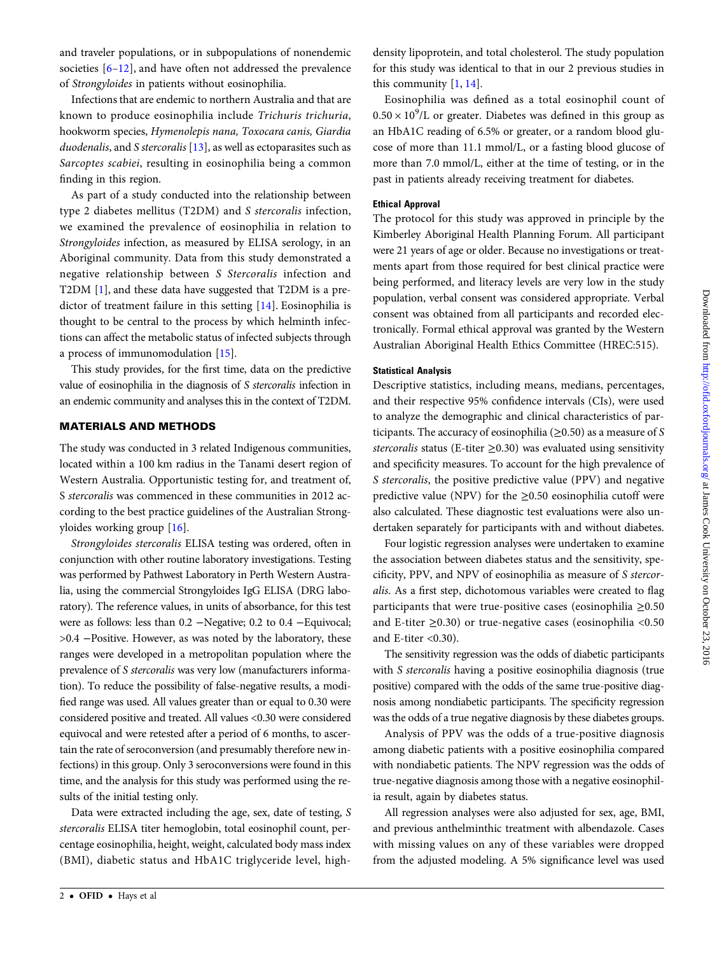and traveler populations, or in subpopulations of nonendemic societies [\[6](#page-4-0)–[12](#page-4-0)], and have often not addressed the prevalence of Strongyloides in patients without eosinophilia.

Infections that are endemic to northern Australia and that are known to produce eosinophilia include Trichuris trichuria, hookworm species, Hymenolepis nana, Toxocara canis, Giardia duodenalis, and S stercoralis  $[13]$  $[13]$ , as well as ectoparasites such as Sarcoptes scabiei, resulting in eosinophilia being a common finding in this region.

As part of a study conducted into the relationship between type 2 diabetes mellitus (T2DM) and S stercoralis infection, we examined the prevalence of eosinophilia in relation to Strongyloides infection, as measured by ELISA serology, in an Aboriginal community. Data from this study demonstrated a negative relationship between S Stercoralis infection and T2DM [[1](#page-4-0)], and these data have suggested that T2DM is a predictor of treatment failure in this setting [[14\]](#page-5-0). Eosinophilia is thought to be central to the process by which helminth infections can affect the metabolic status of infected subjects through a process of immunomodulation [[15](#page-5-0)].

This study provides, for the first time, data on the predictive value of eosinophilia in the diagnosis of S stercoralis infection in an endemic community and analyses this in the context of T2DM.

## MATERIALS AND METHODS

The study was conducted in 3 related Indigenous communities, located within a 100 km radius in the Tanami desert region of Western Australia. Opportunistic testing for, and treatment of, S stercoralis was commenced in these communities in 2012 according to the best practice guidelines of the Australian Strongyloides working group [[16\]](#page-5-0).

Strongyloides stercoralis ELISA testing was ordered, often in conjunction with other routine laboratory investigations. Testing was performed by Pathwest Laboratory in Perth Western Australia, using the commercial Strongyloides IgG ELISA (DRG laboratory). The reference values, in units of absorbance, for this test were as follows: less than 0.2 −Negative; 0.2 to 0.4 −Equivocal; >0.4 −Positive. However, as was noted by the laboratory, these ranges were developed in a metropolitan population where the prevalence of S stercoralis was very low (manufacturers information). To reduce the possibility of false-negative results, a modified range was used. All values greater than or equal to 0.30 were considered positive and treated. All values <0.30 were considered equivocal and were retested after a period of 6 months, to ascertain the rate of seroconversion (and presumably therefore new infections) in this group. Only 3 seroconversions were found in this time, and the analysis for this study was performed using the results of the initial testing only.

Data were extracted including the age, sex, date of testing, S stercoralis ELISA titer hemoglobin, total eosinophil count, percentage eosinophilia, height, weight, calculated body mass index (BMI), diabetic status and HbA1C triglyceride level, high-

2 • OFID • Hays et al

density lipoprotein, and total cholesterol. The study population for this study was identical to that in our 2 previous studies in this community [[1](#page-4-0), [14\]](#page-5-0).

Eosinophilia was defined as a total eosinophil count of  $0.50 \times 10^9$ /L or greater. Diabetes was defined in this group as an HbA1C reading of 6.5% or greater, or a random blood glucose of more than 11.1 mmol/L, or a fasting blood glucose of more than 7.0 mmol/L, either at the time of testing, or in the past in patients already receiving treatment for diabetes.

### Ethical Approval

The protocol for this study was approved in principle by the Kimberley Aboriginal Health Planning Forum. All participant were 21 years of age or older. Because no investigations or treatments apart from those required for best clinical practice were being performed, and literacy levels are very low in the study population, verbal consent was considered appropriate. Verbal consent was obtained from all participants and recorded electronically. Formal ethical approval was granted by the Western Australian Aboriginal Health Ethics Committee (HREC:515).

## Statistical Analysis

Descriptive statistics, including means, medians, percentages, and their respective 95% confidence intervals (CIs), were used to analyze the demographic and clinical characteristics of participants. The accuracy of eosinophilia ( $\geq$ 0.50) as a measure of S stercoralis status (E-titer  $\geq$ 0.30) was evaluated using sensitivity and specificity measures. To account for the high prevalence of S stercoralis, the positive predictive value (PPV) and negative predictive value (NPV) for the  $\geq$ 0.50 eosinophilia cutoff were also calculated. These diagnostic test evaluations were also undertaken separately for participants with and without diabetes.

Four logistic regression analyses were undertaken to examine the association between diabetes status and the sensitivity, specificity, PPV, and NPV of eosinophilia as measure of S stercoralis. As a first step, dichotomous variables were created to flag participants that were true-positive cases (eosinophilia  $\geq 0.50$ and E-titer  $\geq$ 0.30) or true-negative cases (eosinophilia <0.50 and E-titer  $<$  0.30).

The sensitivity regression was the odds of diabetic participants with S stercoralis having a positive eosinophilia diagnosis (true positive) compared with the odds of the same true-positive diagnosis among nondiabetic participants. The specificity regression was the odds of a true negative diagnosis by these diabetes groups.

Analysis of PPV was the odds of a true-positive diagnosis among diabetic patients with a positive eosinophilia compared with nondiabetic patients. The NPV regression was the odds of true-negative diagnosis among those with a negative eosinophilia result, again by diabetes status.

All regression analyses were also adjusted for sex, age, BMI, and previous anthelminthic treatment with albendazole. Cases with missing values on any of these variables were dropped from the adjusted modeling. A 5% significance level was used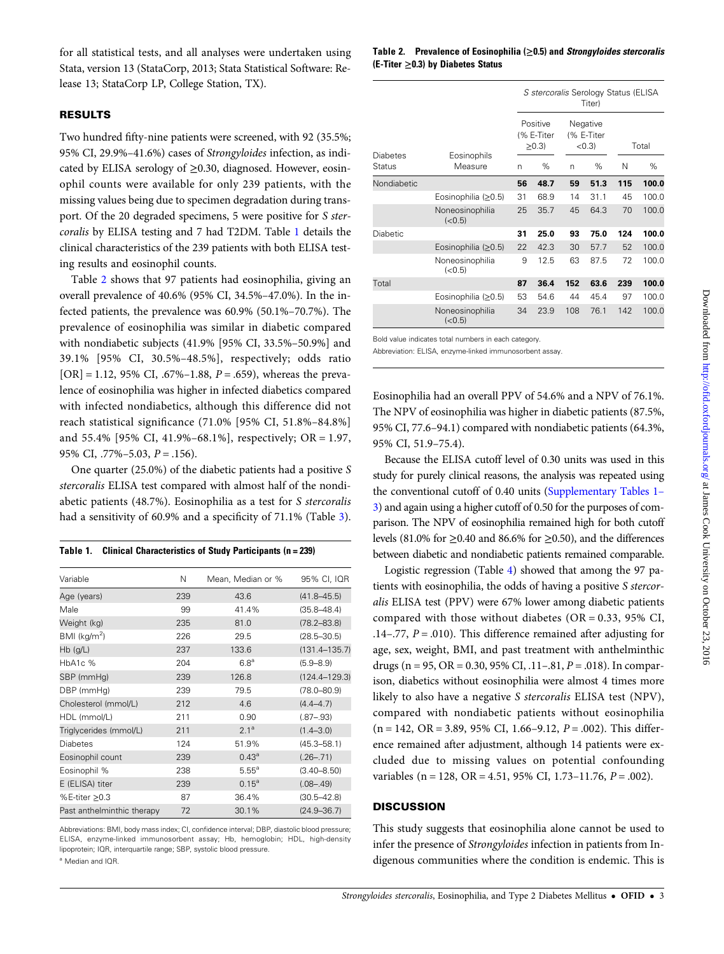for all statistical tests, and all analyses were undertaken using Stata, version 13 (StataCorp, 2013; Stata Statistical Software: Release 13; StataCorp LP, College Station, TX).

## RESULTS

Two hundred fifty-nine patients were screened, with 92 (35.5%; 95% CI, 29.9%–41.6%) cases of Strongyloides infection, as indicated by ELISA serology of  $\geq$ 0.30, diagnosed. However, eosinophil counts were available for only 239 patients, with the missing values being due to specimen degradation during transport. Of the 20 degraded specimens, 5 were positive for S stercoralis by ELISA testing and 7 had T2DM. Table 1 details the clinical characteristics of the 239 patients with both ELISA testing results and eosinophil counts.

Table 2 shows that 97 patients had eosinophilia, giving an overall prevalence of 40.6% (95% CI, 34.5%–47.0%). In the infected patients, the prevalence was 60.9% (50.1%–70.7%). The prevalence of eosinophilia was similar in diabetic compared with nondiabetic subjects (41.9% [95% CI, 33.5%–50.9%] and 39.1% [95% CI, 30.5%–48.5%], respectively; odds ratio  $[OR] = 1.12, 95\% \text{ CI}, .67\% - 1.88, P = .659$ , whereas the prevalence of eosinophilia was higher in infected diabetics compared with infected nondiabetics, although this difference did not reach statistical significance (71.0% [95% CI, 51.8%–84.8%] and 55.4% [95% CI, 41.9%–68.1%], respectively; OR = 1.97, 95% CI, .77%–5.03,  $P = .156$ ).

One quarter (25.0%) of the diabetic patients had a positive S stercoralis ELISA test compared with almost half of the nondiabetic patients (48.7%). Eosinophilia as a test for S stercoralis had a sensitivity of 60.9% and a specificity of 71.1% (Table [3\)](#page-3-0).

|  |  | Table 1. Clinical Characteristics of Study Participants (n = 239) |  |  |  |
|--|--|-------------------------------------------------------------------|--|--|--|
|--|--|-------------------------------------------------------------------|--|--|--|

| Variable                   | Ν   | Mean, Median or % | 95% CI, IQR       |
|----------------------------|-----|-------------------|-------------------|
| Age (years)                | 239 | 43.6              | $(41.8 - 45.5)$   |
| Male                       | 99  | 41.4%             | $(35.8 - 48.4)$   |
| Weight (kg)                | 235 | 81.0              | $(78.2 - 83.8)$   |
| $BMI$ (kg/m <sup>2</sup> ) | 226 | 29.5              | $(28.5 - 30.5)$   |
| $Hb$ (g/L)                 | 237 | 133.6             | $(131.4 - 135.7)$ |
| HbA1c %                    | 204 | 6.8 <sup>a</sup>  | $(5.9 - 8.9)$     |
| SBP (mmHg)                 | 239 | 126.8             | $(124.4 - 129.3)$ |
| DBP (mmHg)                 | 239 | 79.5              | $(78.0 - 80.9)$   |
| Cholesterol (mmol/L)       | 212 | 4.6               | $(4.4 - 4.7)$     |
| HDL (mmol/L)               | 211 | 0.90              | $(.87 - .93)$     |
| Triglycerides (mmol/L)     | 211 | 2.1 <sup>a</sup>  | $(1.4 - 3.0)$     |
| <b>Diabetes</b>            | 124 | 51.9%             | $(45.3 - 58.1)$   |
| Eosinophil count           | 239 | $0.43^{a}$        | $(.26-.71)$       |
| Eosinophil %               | 238 | $5.55^{a}$        | $(3.40 - 8.50)$   |
| E (ELISA) titer            | 239 | $0.15^{a}$        | $(.08-.49)$       |
| %E-titer $\geq$ 0.3        | 87  | 36.4%             | $(30.5 - 42.8)$   |
| Past anthelminthic therapy | 72  | 30.1%             | $(24.9 - 36.7)$   |

Abbreviations: BMI, body mass index; CI, confidence interval; DBP, diastolic blood pressure; ELISA, enzyme-linked immunosorbent assay; Hb, hemoglobin; HDL, high-density lipoprotein; IQR, interquartile range; SBP, systolic blood pressure.

<sup>a</sup> Median and IQR.

#### Table 2. Prevalence of Eosinophilia  $(≥0.5)$  and *Strongyloides stercoralis* (E-Titer  $\geq$ 0.3) by Diabetes Status

|                    |                            |                                      | S stercoralis Serology Status (ELISA<br>Titer) |                                 |      |       |       |  |
|--------------------|----------------------------|--------------------------------------|------------------------------------------------|---------------------------------|------|-------|-------|--|
|                    |                            | Positive<br>(% E-Titer<br>$\geq 0.3$ |                                                | Negative<br>(% E-Titer<br>< 0.3 |      | Total |       |  |
| Diabetes<br>Status | Eosinophils<br>Measure     | n                                    | $\%$                                           | n                               | %    | Ν     | %     |  |
| Nondiabetic        |                            | 56                                   | 48.7                                           | 59                              | 51.3 | 115   | 100.0 |  |
|                    | Eosinophilia $(≥0.5)$      | 31                                   | 68.9                                           | 14                              | 31.1 | 45    | 100.0 |  |
|                    | Noneosinophilia<br>(< 0.5) | 25                                   | 35.7                                           | 45                              | 64.3 | 70    | 100.0 |  |
| Diabetic           |                            | 31                                   | 25.0                                           | 93                              | 75.0 | 124   | 100.0 |  |
|                    | Eosinophilia $(≥0.5)$      | 22                                   | 42.3                                           | 30                              | 57.7 | 52    | 100.0 |  |
|                    | Noneosinophilia<br>(< 0.5) | 9                                    | 12.5                                           | 63                              | 87.5 | 72    | 100.0 |  |
| Total              |                            | 87                                   | 36.4                                           | 152                             | 63.6 | 239   | 100.0 |  |
|                    | Eosinophilia (≥0.5)        | 53                                   | 54.6                                           | 44                              | 45.4 | 97    | 100.0 |  |
|                    | Noneosinophilia<br>(< 0.5) | 34                                   | 23.9                                           | 108                             | 76.1 | 142   | 100.0 |  |

Bold value indicates total numbers in each category.

Abbreviation: ELISA, enzyme-linked immunosorbent assay.

Eosinophilia had an overall PPV of 54.6% and a NPV of 76.1%. The NPV of eosinophilia was higher in diabetic patients (87.5%, 95% CI, 77.6–94.1) compared with nondiabetic patients (64.3%, 95% CI, 51.9–75.4).

Because the ELISA cutoff level of 0.30 units was used in this study for purely clinical reasons, the analysis was repeated using the conventional cutoff of 0.40 units ([Supplementary Tables 1](http://ofid.oxfordjournals.org/lookup/suppl/doi:10.1093/ofid/ofw029/-/DC1)-[3](http://ofid.oxfordjournals.org/lookup/suppl/doi:10.1093/ofid/ofw029/-/DC1)) and again using a higher cutoff of 0.50 for the purposes of comparison. The NPV of eosinophilia remained high for both cutoff levels (81.0% for ≥0.40 and 86.6% for ≥0.50), and the differences between diabetic and nondiabetic patients remained comparable.

Logistic regression (Table [4\)](#page-3-0) showed that among the 97 patients with eosinophilia, the odds of having a positive S stercoralis ELISA test (PPV) were 67% lower among diabetic patients compared with those without diabetes ( $OR = 0.33$ , 95% CI, .14–.77,  $P = .010$ ). This difference remained after adjusting for age, sex, weight, BMI, and past treatment with anthelminthic drugs (n = 95, OR = 0.30, 95% CI, .11–.81,  $P = .018$ ). In comparison, diabetics without eosinophilia were almost 4 times more likely to also have a negative S stercoralis ELISA test (NPV), compared with nondiabetic patients without eosinophilia  $(n = 142, \text{ OR } = 3.89, 95\% \text{ CI}, 1.66-9.12, P = .002)$ . This difference remained after adjustment, although 14 patients were excluded due to missing values on potential confounding variables (n = 128, OR = 4.51, 95% CI, 1.73-11.76,  $P = .002$ ).

#### **DISCUSSION**

This study suggests that eosinophilia alone cannot be used to infer the presence of Strongyloides infection in patients from Indigenous communities where the condition is endemic. This is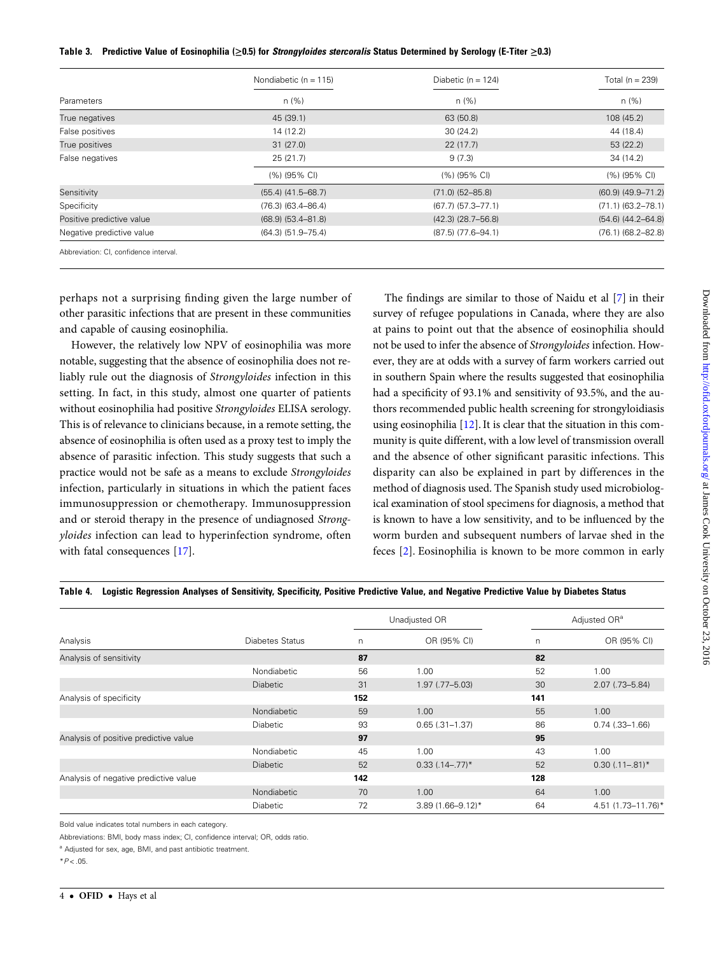<span id="page-3-0"></span>

|  |  |  |  |  |  |  | Table 3. Predictive Value of Eosinophilia (>0.5) for Strongyloides stercoralis Status Determined by Serology (E-Titer >0.3) |
|--|--|--|--|--|--|--|-----------------------------------------------------------------------------------------------------------------------------|
|--|--|--|--|--|--|--|-----------------------------------------------------------------------------------------------------------------------------|

|                           | Nondiabetic ( $n = 115$ ) | Diabetic ( $n = 124$ )   | Total ( $n = 239$ )<br>n(%) |  |
|---------------------------|---------------------------|--------------------------|-----------------------------|--|
| Parameters                | n(%)                      | n (%)                    |                             |  |
| True negatives            | 45 (39.1)                 | 63 (50.8)                | 108 (45.2)                  |  |
| False positives           | 14 (12.2)                 | 30(24.2)                 | 44 (18.4)                   |  |
| True positives            | 31(27.0)                  | 22(17.7)                 | 53(22.2)                    |  |
| False negatives           | 25(21.7)                  | 9(7.3)                   | 34(14.2)                    |  |
|                           | (%) (95% CI)              | (%) (95% CI)             | (%) (95% CI)                |  |
| Sensitivity               | $(55.4)$ $(41.5-68.7)$    | $(71.0)$ $(52-85.8)$     | $(60.9)$ $(49.9 - 71.2)$    |  |
| Specificity               | $(76.3)$ $(63.4 - 86.4)$  | $(67.7)$ $(57.3 - 77.1)$ | $(71.1)$ $(63.2 - 78.1)$    |  |
| Positive predictive value | $(68.9)$ $(53.4 - 81.8)$  | $(42.3)$ $(28.7-56.8)$   | $(54.6)$ $(44.2 - 64.8)$    |  |
| Negative predictive value | $(64.3)$ $(51.9 - 75.4)$  | $(87.5)$ $(77.6 - 94.1)$ | $(76.1)$ $(68.2 - 82.8)$    |  |

perhaps not a surprising finding given the large number of

other parasitic infections that are present in these communities and capable of causing eosinophilia.

However, the relatively low NPV of eosinophilia was more notable, suggesting that the absence of eosinophilia does not reliably rule out the diagnosis of Strongyloides infection in this setting. In fact, in this study, almost one quarter of patients without eosinophilia had positive Strongyloides ELISA serology. This is of relevance to clinicians because, in a remote setting, the absence of eosinophilia is often used as a proxy test to imply the absence of parasitic infection. This study suggests that such a practice would not be safe as a means to exclude Strongyloides infection, particularly in situations in which the patient faces immunosuppression or chemotherapy. Immunosuppression and or steroid therapy in the presence of undiagnosed Strongyloides infection can lead to hyperinfection syndrome, often with fatal consequences [\[17](#page-5-0)].

The findings are similar to those of Naidu et al [[7\]](#page-4-0) in their survey of refugee populations in Canada, where they are also at pains to point out that the absence of eosinophilia should not be used to infer the absence of Strongyloides infection. However, they are at odds with a survey of farm workers carried out in southern Spain where the results suggested that eosinophilia had a specificity of 93.1% and sensitivity of 93.5%, and the authors recommended public health screening for strongyloidiasis using eosinophilia [\[12](#page-4-0)]. It is clear that the situation in this community is quite different, with a low level of transmission overall and the absence of other significant parasitic infections. This disparity can also be explained in part by differences in the method of diagnosis used. The Spanish study used microbiological examination of stool specimens for diagnosis, a method that is known to have a low sensitivity, and to be influenced by the worm burden and subsequent numbers of larvae shed in the feces [[2](#page-4-0)]. Eosinophilia is known to be more common in early

## Table 4. Logistic Regression Analyses of Sensitivity, Specificity, Positive Predictive Value, and Negative Predictive Value by Diabetes Status

|                                       |                    |     | Unadjusted OR         | Adjusted OR <sup>a</sup> |                       |
|---------------------------------------|--------------------|-----|-----------------------|--------------------------|-----------------------|
| Analysis                              | Diabetes Status    | n   | OR (95% CI)           | n                        | OR (95% CI)           |
| Analysis of sensitivity               |                    | 87  |                       | 82                       |                       |
|                                       | Nondiabetic        | 56  | 1.00                  | 52                       | 1.00                  |
|                                       | <b>Diabetic</b>    | 31  | $1.97$ (.77-5.03)     | 30                       | 2.07 (.73-5.84)       |
| Analysis of specificity               |                    | 152 |                       | 141                      |                       |
|                                       | <b>Nondiabetic</b> | 59  | 1.00                  | 55                       | 1.00                  |
|                                       | <b>Diabetic</b>    | 93  | $0.65(.31 - 1.37)$    | 86                       | $0.74$ $(.33 - 1.66)$ |
| Analysis of positive predictive value |                    | 97  |                       | 95                       |                       |
|                                       | Nondiabetic        | 45  | 1.00                  | 43                       | 1.00                  |
|                                       | <b>Diabetic</b>    | 52  | $0.33(.14-.77)*$      | 52                       | $0.30(.11-.81)$ *     |
| Analysis of negative predictive value |                    | 142 |                       | 128                      |                       |
|                                       | Nondiabetic        | 70  | 1.00                  | 64                       | 1.00                  |
|                                       | <b>Diabetic</b>    | 72  | $3.89(1.66 - 9.12)^*$ | 64                       | 4.51 (1.73-11.76)*    |

Bold value indicates total numbers in each category.

Abbreviations: BMI, body mass index; CI, confidence interval; OR, odds ratio.

a Adjusted for sex, age, BMI, and past antibiotic treatment.

 $*P < 05$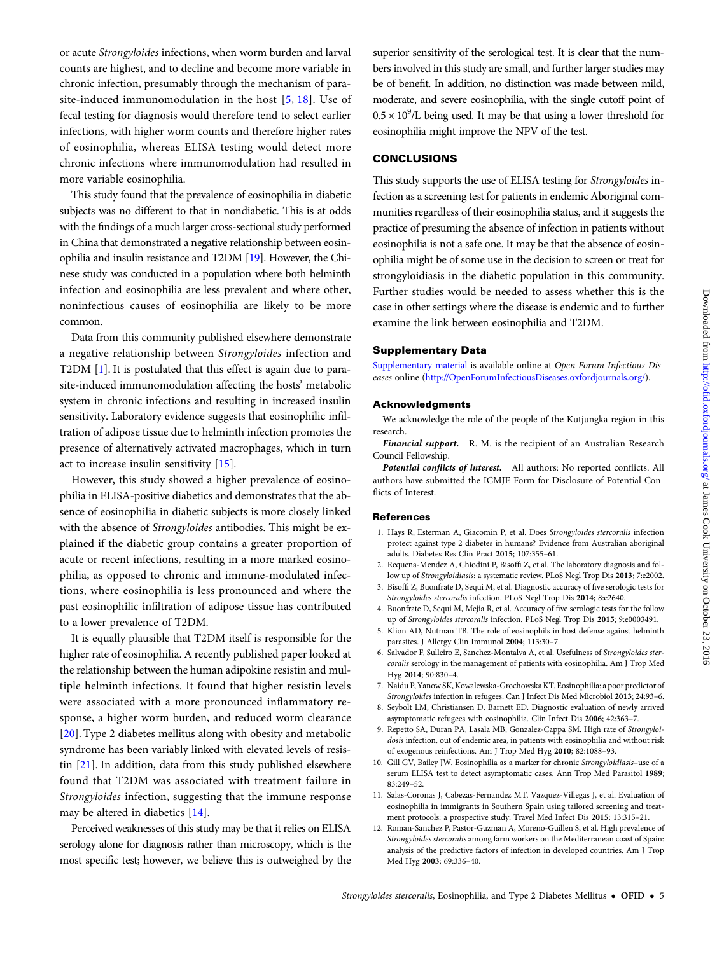<span id="page-4-0"></span>or acute Strongyloides infections, when worm burden and larval counts are highest, and to decline and become more variable in chronic infection, presumably through the mechanism of parasite-induced immunomodulation in the host [5, [18](#page-5-0)]. Use of fecal testing for diagnosis would therefore tend to select earlier infections, with higher worm counts and therefore higher rates of eosinophilia, whereas ELISA testing would detect more chronic infections where immunomodulation had resulted in more variable eosinophilia.

This study found that the prevalence of eosinophilia in diabetic subjects was no different to that in nondiabetic. This is at odds with the findings of a much larger cross-sectional study performed in China that demonstrated a negative relationship between eosinophilia and insulin resistance and T2DM [\[19](#page-5-0)]. However, the Chinese study was conducted in a population where both helminth infection and eosinophilia are less prevalent and where other, noninfectious causes of eosinophilia are likely to be more common.

Data from this community published elsewhere demonstrate a negative relationship between Strongyloides infection and T2DM [1]. It is postulated that this effect is again due to parasite-induced immunomodulation affecting the hosts' metabolic system in chronic infections and resulting in increased insulin sensitivity. Laboratory evidence suggests that eosinophilic infiltration of adipose tissue due to helminth infection promotes the presence of alternatively activated macrophages, which in turn act to increase insulin sensitivity [\[15](#page-5-0)].

However, this study showed a higher prevalence of eosinophilia in ELISA-positive diabetics and demonstrates that the absence of eosinophilia in diabetic subjects is more closely linked with the absence of Strongyloides antibodies. This might be explained if the diabetic group contains a greater proportion of acute or recent infections, resulting in a more marked eosinophilia, as opposed to chronic and immune-modulated infections, where eosinophilia is less pronounced and where the past eosinophilic infiltration of adipose tissue has contributed to a lower prevalence of T2DM.

It is equally plausible that T2DM itself is responsible for the higher rate of eosinophilia. A recently published paper looked at the relationship between the human adipokine resistin and multiple helminth infections. It found that higher resistin levels were associated with a more pronounced inflammatory response, a higher worm burden, and reduced worm clearance [\[20](#page-5-0)]. Type 2 diabetes mellitus along with obesity and metabolic syndrome has been variably linked with elevated levels of resistin [[21\]](#page-5-0). In addition, data from this study published elsewhere found that T2DM was associated with treatment failure in Strongyloides infection, suggesting that the immune response may be altered in diabetics [[14\]](#page-5-0).

Perceived weaknesses of this study may be that it relies on ELISA serology alone for diagnosis rather than microscopy, which is the most specific test; however, we believe this is outweighed by the superior sensitivity of the serological test. It is clear that the numbers involved in this study are small, and further larger studies may be of benefit. In addition, no distinction was made between mild, moderate, and severe eosinophilia, with the single cutoff point of  $0.5 \times 10^9$ /L being used. It may be that using a lower threshold for eosinophilia might improve the NPV of the test.

## CONCLUSIONS

This study supports the use of ELISA testing for Strongyloides infection as a screening test for patients in endemic Aboriginal communities regardless of their eosinophilia status, and it suggests the practice of presuming the absence of infection in patients without eosinophilia is not a safe one. It may be that the absence of eosinophilia might be of some use in the decision to screen or treat for strongyloidiasis in the diabetic population in this community. Further studies would be needed to assess whether this is the case in other settings where the disease is endemic and to further examine the link between eosinophilia and T2DM.

### Supplementary Data

[Supplementary material](http://ofid.oxfordjournals.org/lookup/suppl/doi:10.1093/ofid/ofw029/-/DC1) is available online at Open Forum Infectious Diseases online [\(http://OpenForumInfectiousDiseases.oxfordjournals.org/](http://OpenForumInfectiousDiseases.oxfordjournals.org/)).

#### Acknowledgments

We acknowledge the role of the people of the Kutjungka region in this research.

Financial support. R. M. is the recipient of an Australian Research Council Fellowship.

Potential conflicts of interest. All authors: No reported conflicts. All authors have submitted the ICMJE Form for Disclosure of Potential Conflicts of Interest.

#### References

- 1. Hays R, Esterman A, Giacomin P, et al. Does Strongyloides stercoralis infection protect against type 2 diabetes in humans? Evidence from Australian aboriginal adults. Diabetes Res Clin Pract 2015; 107:355–61.
- 2. Requena-Mendez A, Chiodini P, Bisoffi Z, et al. The laboratory diagnosis and follow up of Strongyloidiasis: a systematic review. PLoS Negl Trop Dis 2013; 7:e2002.
- 3. Bisoffi Z, Buonfrate D, Sequi M, et al. Diagnostic accuracy of five serologic tests for Strongyloides stercoralis infection. PLoS Negl Trop Dis 2014; 8:e2640.
- 4. Buonfrate D, Sequi M, Mejia R, et al. Accuracy of five serologic tests for the follow up of Strongyloides stercoralis infection. PLoS Negl Trop Dis 2015; 9:e0003491.
- 5. Klion AD, Nutman TB. The role of eosinophils in host defense against helminth parasites. J Allergy Clin Immunol 2004; 113:30–7.
- 6. Salvador F, Sulleiro E, Sanchez-Montalva A, et al. Usefulness of Strongyloides stercoralis serology in the management of patients with eosinophilia. Am J Trop Med Hyg 2014; 90:830–4.
- 7. Naidu P, Yanow SK, Kowalewska-Grochowska KT. Eosinophilia: a poor predictor of Strongyloides infection in refugees. Can J Infect Dis Med Microbiol 2013; 24:93–6.
- 8. Seybolt LM, Christiansen D, Barnett ED. Diagnostic evaluation of newly arrived asymptomatic refugees with eosinophilia. Clin Infect Dis 2006; 42:363–7.
- 9. Repetto SA, Duran PA, Lasala MB, Gonzalez-Cappa SM. High rate of Strongyloidosis infection, out of endemic area, in patients with eosinophilia and without risk of exogenous reinfections. Am J Trop Med Hyg 2010; 82:1088–93.
- 10. Gill GV, Bailey JW. Eosinophilia as a marker for chronic Strongyloidiasis–use of a serum ELISA test to detect asymptomatic cases. Ann Trop Med Parasitol 1989; 83:249–52.
- 11. Salas-Coronas J, Cabezas-Fernandez MT, Vazquez-Villegas J, et al. Evaluation of eosinophilia in immigrants in Southern Spain using tailored screening and treatment protocols: a prospective study. Travel Med Infect Dis 2015; 13:315–21.
- 12. Roman-Sanchez P, Pastor-Guzman A, Moreno-Guillen S, et al. High prevalence of Strongyloides stercoralis among farm workers on the Mediterranean coast of Spain: analysis of the predictive factors of infection in developed countries. Am J Trop Med Hyg 2003; 69:336–40.